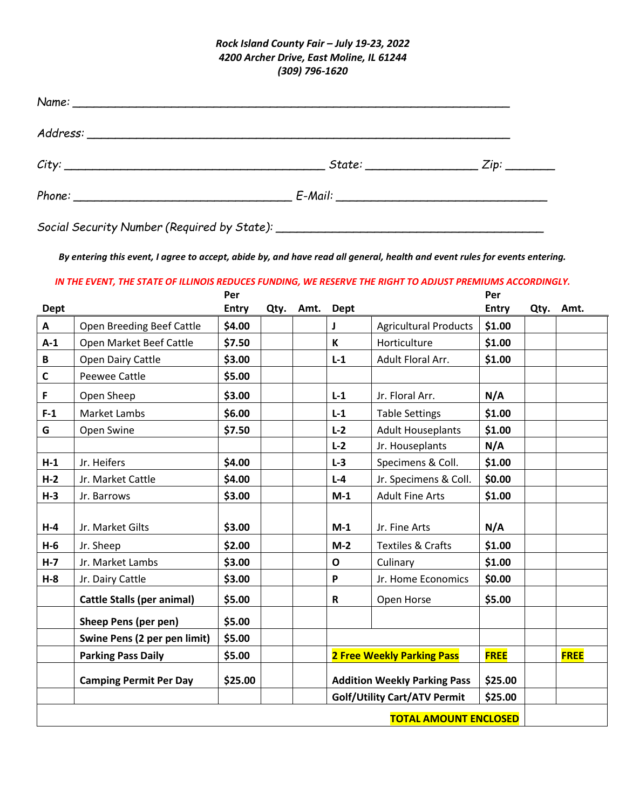## *Rock Island County Fair – July 19-23, 2022 4200 Archer Drive, East Moline, IL 61244 (309) 796-1620*

| $City:$ $Zip:$ $Zip:$ $\Box$ |  |
|------------------------------|--|
|                              |  |

*Social Security Number (Required by State): \_\_\_\_\_\_\_\_\_\_\_\_\_\_\_\_\_\_\_\_\_\_\_\_\_\_\_\_\_\_\_\_\_\_\_\_\_\_*

*By entering this event, I agree to accept, abide by, and have read all general, health and event rules for events entering.*

## *IN THE EVENT, THE STATE OF ILLINOIS REDUCES FUNDING, WE RESERVE THE RIGHT TO ADJUST PREMIUMS ACCORDINGLY.*

|                              |                                   | Per                                |      |      |              |                                     | Per          |      |             |
|------------------------------|-----------------------------------|------------------------------------|------|------|--------------|-------------------------------------|--------------|------|-------------|
| <b>Dept</b>                  |                                   | <b>Entry</b>                       | Qty. | Amt. | <b>Dept</b>  |                                     | <b>Entry</b> | Qty. | Amt.        |
| A                            | Open Breeding Beef Cattle         | \$4.00                             |      |      | J            | <b>Agricultural Products</b>        | \$1.00       |      |             |
| $A-1$                        | Open Market Beef Cattle           | \$7.50                             |      |      | $\mathsf{K}$ | Horticulture                        | \$1.00       |      |             |
| B                            | Open Dairy Cattle                 | \$3.00                             |      |      | $L-1$        | Adult Floral Arr.                   | \$1.00       |      |             |
| C                            | <b>Peewee Cattle</b>              | \$5.00                             |      |      |              |                                     |              |      |             |
| F                            | Open Sheep                        | \$3.00                             |      |      | $L-1$        | Jr. Floral Arr.                     | N/A          |      |             |
| $F-1$                        | Market Lambs                      | \$6.00                             |      |      | $L-1$        | <b>Table Settings</b>               | \$1.00       |      |             |
| G                            | Open Swine                        | \$7.50                             |      |      | $L-2$        | <b>Adult Houseplants</b>            | \$1.00       |      |             |
|                              |                                   |                                    |      |      | $L-2$        | Jr. Houseplants                     | N/A          |      |             |
| $H-1$                        | Jr. Heifers                       | \$4.00                             |      |      | $L-3$        | Specimens & Coll.                   | \$1.00       |      |             |
| $H-2$                        | Jr. Market Cattle                 | \$4.00                             |      |      | $L - 4$      | Jr. Specimens & Coll.               | \$0.00       |      |             |
| $H-3$                        | Jr. Barrows                       | \$3.00                             |      |      | $M-1$        | <b>Adult Fine Arts</b>              | \$1.00       |      |             |
| $H-4$                        | Jr. Market Gilts                  | \$3.00                             |      |      | $M-1$        | Jr. Fine Arts                       | N/A          |      |             |
| $H-6$                        | Jr. Sheep                         | \$2.00                             |      |      | $M-2$        | <b>Textiles &amp; Crafts</b>        | \$1.00       |      |             |
| $H - 7$                      | Jr. Market Lambs                  | \$3.00<br>$\mathbf{o}$<br>Culinary |      |      | \$1.00       |                                     |              |      |             |
| $H - 8$                      | Jr. Dairy Cattle                  | \$3.00                             |      |      | P            | Jr. Home Economics                  | \$0.00       |      |             |
|                              | <b>Cattle Stalls (per animal)</b> | \$5.00                             |      |      | $\mathsf{R}$ | Open Horse                          | \$5.00       |      |             |
|                              | Sheep Pens (per pen)              | \$5.00                             |      |      |              |                                     |              |      |             |
|                              | Swine Pens (2 per pen limit)      | \$5.00                             |      |      |              |                                     |              |      |             |
|                              | <b>Parking Pass Daily</b>         | \$5.00                             |      |      |              | <b>2 Free Weekly Parking Pass</b>   | <b>FREE</b>  |      | <b>FREE</b> |
|                              | <b>Camping Permit Per Day</b>     | \$25.00                            |      |      |              | <b>Addition Weekly Parking Pass</b> | \$25.00      |      |             |
|                              |                                   |                                    |      |      |              | <b>Golf/Utility Cart/ATV Permit</b> | \$25.00      |      |             |
| <b>TOTAL AMOUNT ENCLOSED</b> |                                   |                                    |      |      |              |                                     |              |      |             |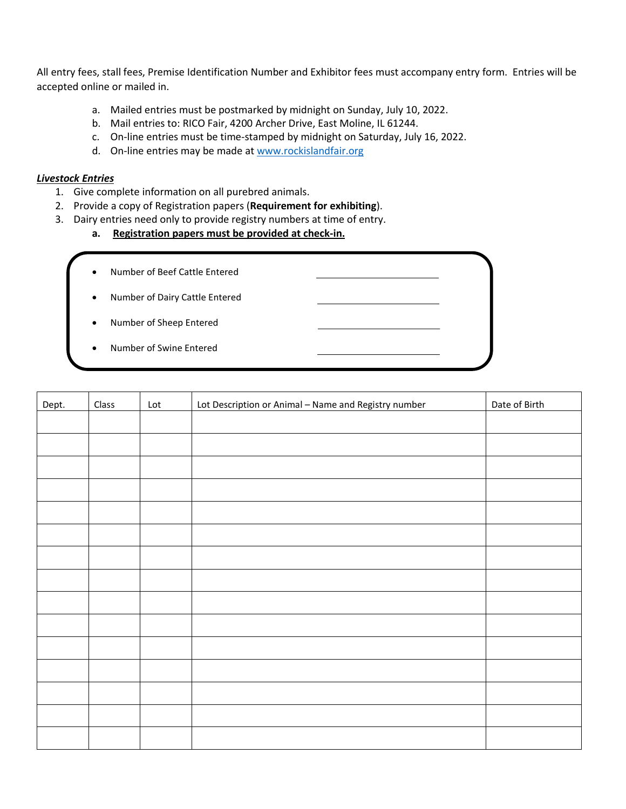All entry fees, stall fees, Premise Identification Number and Exhibitor fees must accompany entry form. Entries will be accepted online or mailed in.

- a. Mailed entries must be postmarked by midnight on Sunday, July 10, 2022.
- b. Mail entries to: RICO Fair, 4200 Archer Drive, East Moline, IL 61244.
- c. On-line entries must be time-stamped by midnight on Saturday, July 16, 2022.
- d. On-line entries may be made at [www.rockislandfair.org](http://www.rockislandfair.org/)

## *Livestock Entries*

- 1. Give complete information on all purebred animals.
- 2. Provide a copy of Registration papers (**Requirement for exhibiting**).
- 3. Dairy entries need only to provide registry numbers at time of entry.
	- **a. Registration papers must be provided at check-in.**
	- Number of Beef Cattle Entered
	- Number of Dairy Cattle Entered
	- Number of Sheep Entered
	- Number of Swine Entered

| Dept. | Class | Lot | Lot Description or Animal - Name and Registry number | Date of Birth |
|-------|-------|-----|------------------------------------------------------|---------------|
|       |       |     |                                                      |               |
|       |       |     |                                                      |               |
|       |       |     |                                                      |               |
|       |       |     |                                                      |               |
|       |       |     |                                                      |               |
|       |       |     |                                                      |               |
|       |       |     |                                                      |               |
|       |       |     |                                                      |               |
|       |       |     |                                                      |               |
|       |       |     |                                                      |               |
|       |       |     |                                                      |               |
|       |       |     |                                                      |               |
|       |       |     |                                                      |               |
|       |       |     |                                                      |               |
|       |       |     |                                                      |               |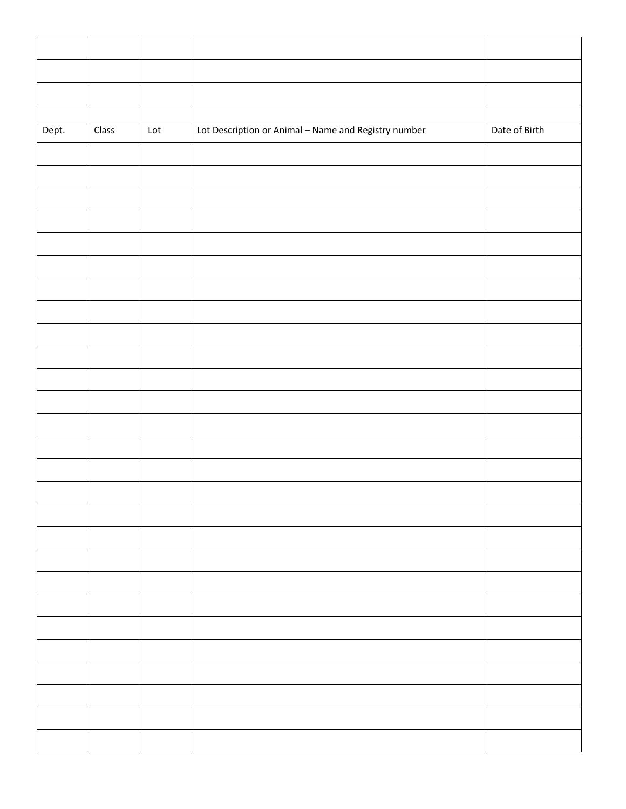| Dept. | Class | $\ensuremath{\mathsf{Lot}}$ | Lot Description or Animal - Name and Registry number | Date of Birth |
|-------|-------|-----------------------------|------------------------------------------------------|---------------|
|       |       |                             |                                                      |               |
|       |       |                             |                                                      |               |
|       |       |                             |                                                      |               |
|       |       |                             |                                                      |               |
|       |       |                             |                                                      |               |
|       |       |                             |                                                      |               |
|       |       |                             |                                                      |               |
|       |       |                             |                                                      |               |
|       |       |                             |                                                      |               |
|       |       |                             |                                                      |               |
|       |       |                             |                                                      |               |
|       |       |                             |                                                      |               |
|       |       |                             |                                                      |               |
|       |       |                             |                                                      |               |
|       |       |                             |                                                      |               |
|       |       |                             |                                                      |               |
|       |       |                             |                                                      |               |
|       |       |                             |                                                      |               |
|       |       |                             |                                                      |               |
|       |       |                             |                                                      |               |
|       |       |                             |                                                      |               |
|       |       |                             |                                                      |               |
|       |       |                             |                                                      |               |
|       |       |                             |                                                      |               |
|       |       |                             |                                                      |               |
|       |       |                             |                                                      |               |
|       |       |                             |                                                      |               |